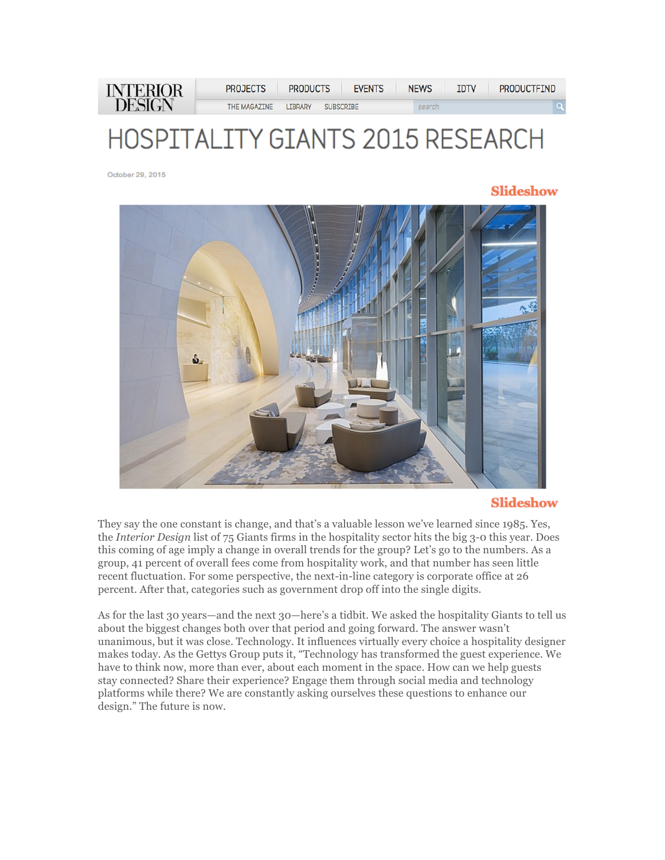| <b>INTERIOR</b><br><b>DESIGN</b> | PROJECTS     | <b>PRODUCTS</b> | <b>FVENTS</b>    | <b>NEWS</b> | IDTV | <b>PRODUCTFIND</b> |
|----------------------------------|--------------|-----------------|------------------|-------------|------|--------------------|
|                                  | THE MAGAZINE | <b>TBRARY</b>   | <b>SUBSCRIBE</b> | search      |      | Q.                 |

# HOSPITALITY GIANTS 2015 RESEARCH

October 29, 2015

## **Slideshow**



## **Slideshow**

They say the one constant is change, and that's a valuable lesson we've learned since 1985. Yes, the *Interior Design* list of 75 Giants firms in the hospitality sector hits the big 3-0 this year. Does this coming of age imply a change in overall trends for the group? Let's go to the numbers. As a group, 41 percent of overall fees come from hospitality work, and that number has seen little recent fluctuation. For some perspective, the next-in-line category is corporate office at 26 percent. After that, categories such as government drop off into the single digits.

As for the last 30 years—and the next 30—here's a tidbit. We asked the hospitality Giants to tell us about the biggest changes both over that period and going forward. The answer wasn't unanimous, but it was close. Technology. It influences virtually every choice a hospitality designer makes today. As the Gettys Group puts it, "Technology has transformed the guest experience. We have to think now, more than ever, about each moment in the space. How can we help guests stay connected? Share their experience? Engage them through social media and technology platforms while there? We are constantly asking ourselves these questions to enhance our design." The future is now.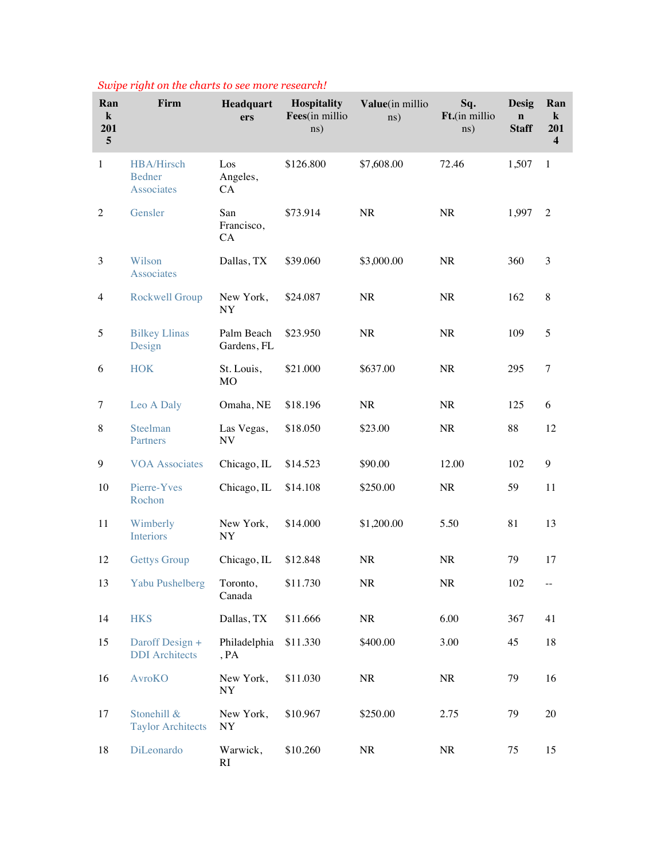| Ran<br>$\bf k$<br>201<br>5 | Firm                                             | Headquart<br>ers          | Hospitality<br>Fees(in millio<br>$\text{ns}$ ) | Value(in millio<br>ns) | Sq.<br>Ft.(in millio<br>ns) | <b>Desig</b><br>$\mathbf n$<br><b>Staff</b> | Ran<br>$\bf k$<br>201<br>$\overline{\mathbf{4}}$ |
|----------------------------|--------------------------------------------------|---------------------------|------------------------------------------------|------------------------|-----------------------------|---------------------------------------------|--------------------------------------------------|
| $\mathbf{1}$               | HBA/Hirsch<br><b>Bedner</b><br><b>Associates</b> | Los<br>Angeles,<br>CA     | \$126.800                                      | \$7,608.00             | 72.46                       | 1,507                                       | -1                                               |
| 2                          | Gensler                                          | San<br>Francisco,<br>CA   | \$73.914                                       | NR                     | <b>NR</b>                   | 1,997                                       | 2                                                |
| 3                          | Wilson<br><b>Associates</b>                      | Dallas, TX                | \$39.060                                       | \$3,000.00             | <b>NR</b>                   | 360                                         | 3                                                |
| $\overline{4}$             | <b>Rockwell Group</b>                            | New York,<br>NY           | \$24.087                                       | NR                     | <b>NR</b>                   | 162                                         | 8                                                |
| 5                          | <b>Bilkey Llinas</b><br>Design                   | Palm Beach<br>Gardens, FL | \$23.950                                       | <b>NR</b>              | <b>NR</b>                   | 109                                         | 5                                                |
| 6                          | <b>HOK</b>                                       | St. Louis,<br>MO          | \$21.000                                       | \$637.00               | <b>NR</b>                   | 295                                         | $\tau$                                           |
| 7                          | Leo A Daly                                       | Omaha, NE                 | \$18.196                                       | <b>NR</b>              | <b>NR</b>                   | 125                                         | 6                                                |
| $\,8$                      | Steelman<br>Partners                             | Las Vegas,<br>NV          | \$18.050                                       | \$23.00                | <b>NR</b>                   | 88                                          | 12                                               |
| 9                          | <b>VOA Associates</b>                            | Chicago, IL               | \$14.523                                       | \$90.00                | 12.00                       | 102                                         | 9                                                |
| 10                         | Pierre-Yves<br>Rochon                            | Chicago, IL               | \$14.108                                       | \$250.00               | <b>NR</b>                   | 59                                          | 11                                               |
| 11                         | Wimberly<br>Interiors                            | New York,<br>NY           | \$14.000                                       | \$1,200.00             | 5.50                        | 81                                          | 13                                               |
| 12                         | <b>Gettys Group</b>                              | Chicago, IL               | \$12.848                                       | <b>NR</b>              | <b>NR</b>                   | 79                                          | 17                                               |
| 13                         | <b>Yabu Pushelberg</b>                           | Toronto,<br>Canada        | \$11.730                                       | $\rm NR$               | NR                          | 102                                         |                                                  |
| 14                         | <b>HKS</b>                                       | Dallas, TX                | \$11.666                                       | NR                     | 6.00                        | 367                                         | 41                                               |
| 15                         | Daroff Design +<br><b>DDI</b> Architects         | Philadelphia<br>, PA      | \$11.330                                       | \$400.00               | 3.00                        | 45                                          | 18                                               |
| 16                         | <b>AvroKO</b>                                    | New York,<br>NY           | \$11.030                                       | $\rm NR$               | <b>NR</b>                   | 79                                          | 16                                               |
| 17                         | Stonehill &<br><b>Taylor Architects</b>          | New York,<br>NY           | \$10.967                                       | \$250.00               | 2.75                        | 79                                          | 20                                               |
| 18                         | DiLeonardo                                       | Warwick,<br>RI            | \$10.260                                       | <b>NR</b>              | <b>NR</b>                   | 75                                          | 15                                               |

## *Swipe right on the charts to see more research!*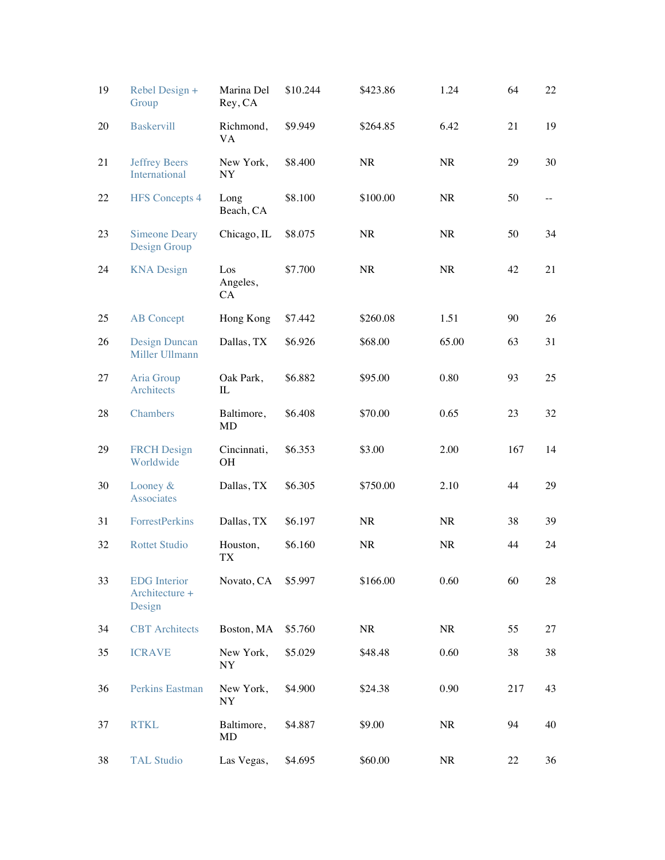| 19 | Rebel Design +<br>Group                         | Marina Del<br>Rey, CA    | \$10.244 | \$423.86  | 1.24      | 64  | 22 |
|----|-------------------------------------------------|--------------------------|----------|-----------|-----------|-----|----|
| 20 | <b>Baskervill</b>                               | Richmond,<br><b>VA</b>   | \$9.949  | \$264.85  | 6.42      | 21  | 19 |
| 21 | <b>Jeffrey Beers</b><br>International           | New York,<br><b>NY</b>   | \$8.400  | NR        | <b>NR</b> | 29  | 30 |
| 22 | <b>HFS</b> Concepts 4                           | Long<br>Beach, CA        | \$8.100  | \$100.00  | <b>NR</b> | 50  |    |
| 23 | <b>Simeone Deary</b><br>Design Group            | Chicago, IL              | \$8.075  | <b>NR</b> | <b>NR</b> | 50  | 34 |
| 24 | <b>KNA</b> Design                               | Los<br>Angeles,<br>CA    | \$7.700  | <b>NR</b> | <b>NR</b> | 42  | 21 |
| 25 | <b>AB</b> Concept                               | Hong Kong                | \$7.442  | \$260.08  | 1.51      | 90  | 26 |
| 26 | <b>Design Duncan</b><br>Miller Ullmann          | Dallas, TX               | \$6.926  | \$68.00   | 65.00     | 63  | 31 |
| 27 | Aria Group<br>Architects                        | Oak Park,<br>IL          | \$6.882  | \$95.00   | 0.80      | 93  | 25 |
| 28 | Chambers                                        | Baltimore,<br><b>MD</b>  | \$6.408  | \$70.00   | 0.65      | 23  | 32 |
| 29 | <b>FRCH Design</b><br>Worldwide                 | Cincinnati,<br><b>OH</b> | \$6.353  | \$3.00    | 2.00      | 167 | 14 |
| 30 | Looney &<br>Associates                          | Dallas, TX               | \$6.305  | \$750.00  | 2.10      | 44  | 29 |
| 31 | <b>ForrestPerkins</b>                           | Dallas, TX               | \$6.197  | NR        | <b>NR</b> | 38  | 39 |
| 32 | <b>Rottet Studio</b>                            | Houston,<br><b>TX</b>    | \$6.160  | <b>NR</b> | NR        | 44  | 24 |
| 33 | <b>EDG</b> Interior<br>Architecture +<br>Design | Novato, CA               | \$5.997  | \$166.00  | 0.60      | 60  | 28 |
| 34 | <b>CBT</b> Architects                           | Boston, MA               | \$5.760  | NR        | <b>NR</b> | 55  | 27 |
| 35 | <b>ICRAVE</b>                                   | New York,<br>NY          | \$5.029  | \$48.48   | 0.60      | 38  | 38 |
| 36 | Perkins Eastman                                 | New York,<br>NY          | \$4.900  | \$24.38   | 0.90      | 217 | 43 |
| 37 | <b>RTKL</b>                                     | Baltimore,<br>MD         | \$4.887  | \$9.00    | <b>NR</b> | 94  | 40 |
| 38 | <b>TAL Studio</b>                               | Las Vegas,               | \$4.695  | \$60.00   | <b>NR</b> | 22  | 36 |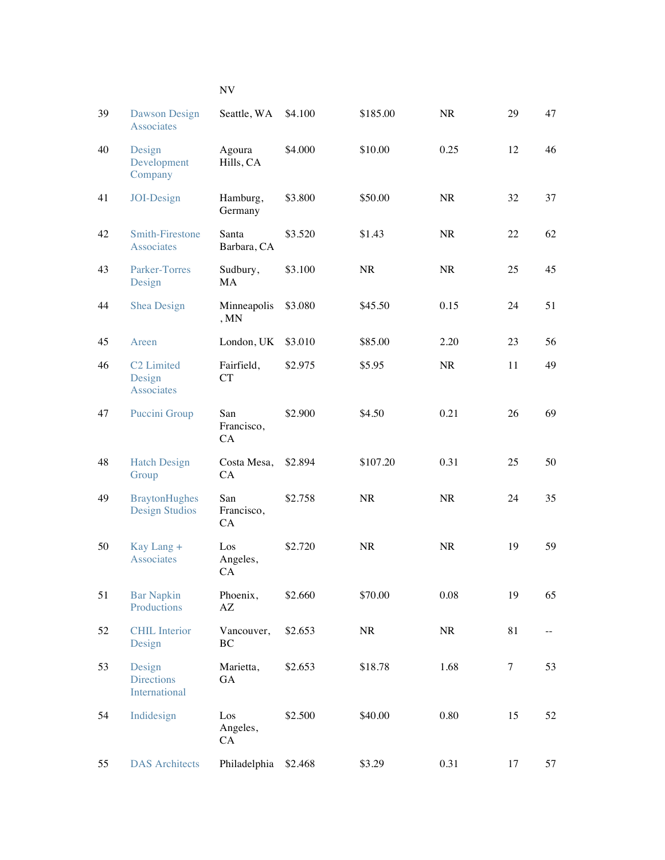| 39 | Dawson Design<br>Associates                    | Seattle, WA                        | \$4.100 | \$185.00  | <b>NR</b> | 29     | 47   |
|----|------------------------------------------------|------------------------------------|---------|-----------|-----------|--------|------|
| 40 | Design<br>Development<br>Company               | Agoura<br>Hills, CA                | \$4.000 | \$10.00   | 0.25      | 12     | 46   |
| 41 | JOI-Design                                     | Hamburg,<br>Germany                | \$3.800 | \$50.00   | <b>NR</b> | 32     | 37   |
| 42 | <b>Smith-Firestone</b><br>Associates           | Santa<br>Barbara, CA               | \$3.520 | \$1.43    | <b>NR</b> | 22     | 62   |
| 43 | Parker-Torres<br>Design                        | Sudbury,<br>MA                     | \$3.100 | <b>NR</b> | <b>NR</b> | 25     | 45   |
| 44 | <b>Shea Design</b>                             | Minneapolis<br>, MN                | \$3.080 | \$45.50   | 0.15      | 24     | 51   |
| 45 | Areen                                          | London, UK                         | \$3.010 | \$85.00   | 2.20      | 23     | 56   |
| 46 | C <sub>2</sub> Limited<br>Design<br>Associates | Fairfield,<br><b>CT</b>            | \$2.975 | \$5.95    | NR        | 11     | 49   |
| 47 | Puccini Group                                  | San<br>Francisco,<br>CA            | \$2.900 | \$4.50    | 0.21      | 26     | 69   |
| 48 | <b>Hatch Design</b><br>Group                   | Costa Mesa,<br>CA                  | \$2.894 | \$107.20  | 0.31      | 25     | 50   |
| 49 | <b>BraytonHughes</b><br><b>Design Studios</b>  | San<br>Francisco,<br>CA            | \$2.758 | <b>NR</b> | <b>NR</b> | 24     | 35   |
| 50 | Kay Lang +<br>Associates                       | Los<br>Angeles,<br><b>CA</b>       | \$2.720 | <b>NR</b> | <b>NR</b> | 19     | 59   |
| 51 | <b>Bar Napkin</b><br>Productions               | Phoenix,<br>$\mathbf{A}\mathbf{Z}$ | \$2.660 | \$70.00   | 0.08      | 19     | 65   |
| 52 | <b>CHIL</b> Interior<br>Design                 | Vancouver,<br>BC                   | \$2.653 | <b>NR</b> | <b>NR</b> | 81     | $ -$ |
| 53 | Design<br><b>Directions</b><br>International   | Marietta,<br>GA                    | \$2.653 | \$18.78   | 1.68      | $\tau$ | 53   |
| 54 | Indidesign                                     | Los<br>Angeles,<br>CA              | \$2.500 | \$40.00   | 0.80      | 15     | 52   |
| 55 | <b>DAS</b> Architects                          | Philadelphia                       | \$2.468 | \$3.29    | 0.31      | 17     | 57   |

## NV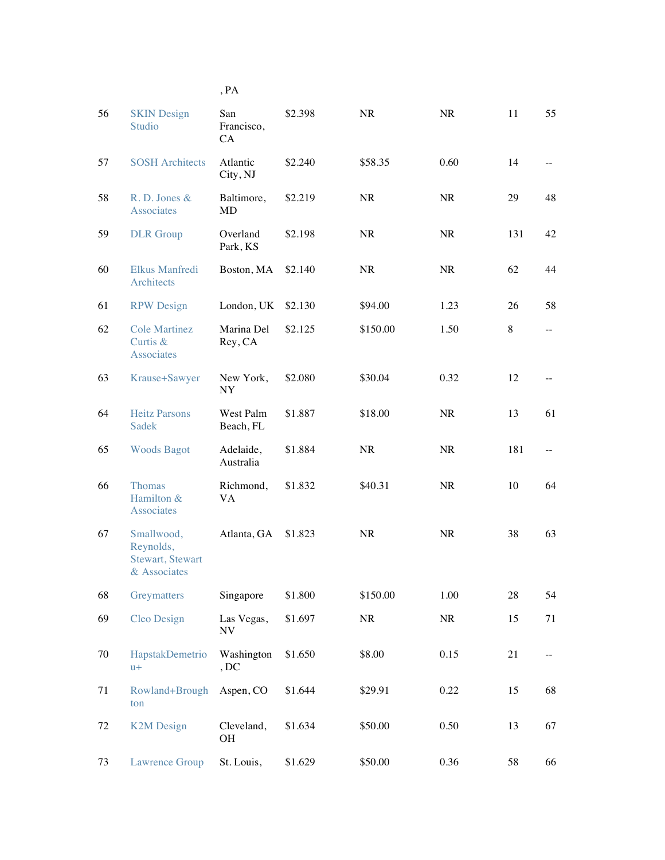| 56 | <b>SKIN Design</b><br>Studio                                        | San<br>Francisco,<br>CA | \$2.398 | <b>NR</b> | NR        | 11  | 55             |
|----|---------------------------------------------------------------------|-------------------------|---------|-----------|-----------|-----|----------------|
| 57 | <b>SOSH Architects</b>                                              | Atlantic<br>City, NJ    | \$2.240 | \$58.35   | 0.60      | 14  | $- -$          |
| 58 | R. D. Jones &<br><b>Associates</b>                                  | Baltimore,<br><b>MD</b> | \$2.219 | <b>NR</b> | <b>NR</b> | 29  | 48             |
| 59 | <b>DLR</b> Group                                                    | Overland<br>Park, KS    | \$2.198 | <b>NR</b> | <b>NR</b> | 131 | 42             |
| 60 | Elkus Manfredi<br>Architects                                        | Boston, MA              | \$2.140 | <b>NR</b> | <b>NR</b> | 62  | 44             |
| 61 | <b>RPW Design</b>                                                   | London, UK              | \$2.130 | \$94.00   | 1.23      | 26  | 58             |
| 62 | <b>Cole Martinez</b><br>Curtis &<br><b>Associates</b>               | Marina Del<br>Rey, CA   | \$2.125 | \$150.00  | 1.50      | 8   | $-$            |
| 63 | Krause+Sawyer                                                       | New York,<br><b>NY</b>  | \$2.080 | \$30.04   | 0.32      | 12  |                |
| 64 | <b>Heitz Parsons</b><br><b>Sadek</b>                                | West Palm<br>Beach, FL  | \$1.887 | \$18.00   | <b>NR</b> | 13  | 61             |
| 65 | <b>Woods Bagot</b>                                                  | Adelaide,<br>Australia  | \$1.884 | <b>NR</b> | <b>NR</b> | 181 | $\overline{a}$ |
| 66 | <b>Thomas</b><br>Hamilton &<br><b>Associates</b>                    | Richmond,<br>VA         | \$1.832 | \$40.31   | <b>NR</b> | 10  | 64             |
| 67 | Smallwood,<br>Reynolds,<br><b>Stewart</b> , Stewart<br>& Associates | Atlanta, GA             | \$1.823 | <b>NR</b> | <b>NR</b> | 38  | 63             |
| 68 | Greymatters                                                         | Singapore               | \$1.800 | \$150.00  | 1.00      | 28  | 54             |
| 69 | <b>Cleo Design</b>                                                  | Las Vegas,<br>NV        | \$1.697 | $\rm NR$  | NR        | 15  | 71             |
| 70 | HapstakDemetrio<br>$u+$                                             | Washington<br>, DC      | \$1.650 | \$8.00    | 0.15      | 21  |                |
| 71 | Rowland+Brough<br>ton                                               | Aspen, CO               | \$1.644 | \$29.91   | 0.22      | 15  | 68             |
| 72 | <b>K2M Design</b>                                                   | Cleveland,<br><b>OH</b> | \$1.634 | \$50.00   | 0.50      | 13  | 67             |
| 73 | <b>Lawrence Group</b>                                               | St. Louis,              | \$1.629 | \$50.00   | 0.36      | 58  | 66             |

, PA